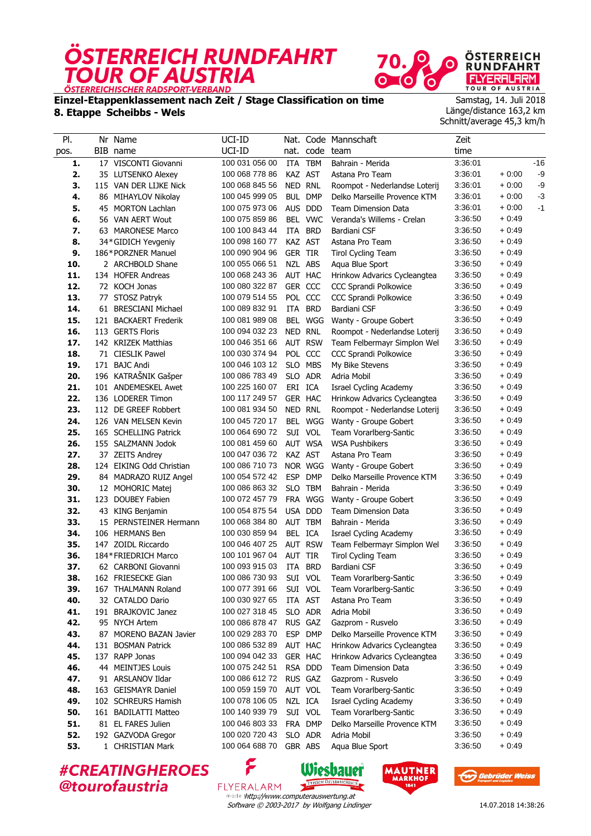



**Einzel-Etappenklassement nach Zeit / Stage Classification on time**

**8. Etappe Scheibbs - Wels**

Samstag, 14. Juli 2018 Länge/distance 163,2 km Schnitt/average 45,3 km/h

| PI.        | Nr Name                                     | UCI-ID                           |                |                    | Nat. Code Mannschaft                            | Zeit               |                    |      |
|------------|---------------------------------------------|----------------------------------|----------------|--------------------|-------------------------------------------------|--------------------|--------------------|------|
| pos.       | BIB name                                    | UCI-ID                           | nat.           | code team          |                                                 | time               |                    |      |
| 1.         | 17 VISCONTI Giovanni                        | 100 031 056 00                   | ITA            | <b>TBM</b>         | Bahrain - Merida                                | 3:36:01            |                    | -16  |
| 2.         | 35 LUTSENKO Alexey                          | 100 068 778 86                   | KAZ AST        |                    | Astana Pro Team                                 | 3:36:01            | $+0.00$            | $-9$ |
| 3.         | 115 VAN DER LIJKE Nick                      | 100 068 845 56                   | NED RNL        |                    | Roompot - Nederlandse Loterij                   | 3:36:01            | $+0:00$            | -9   |
| 4.         | 86 MIHAYLOV Nikolay                         | 100 045 999 05                   | <b>BUL</b>     | <b>DMP</b>         | Delko Marseille Provence KTM                    | 3:36:01            | $+0.00$            | $-3$ |
| 5.         | 45 MORTON Lachlan                           | 100 075 973 06                   |                | AUS DDD            | <b>Team Dimension Data</b>                      | 3:36:01            | $+0:00$            | $-1$ |
| 6.         | 56 VAN AERT Wout                            | 100 075 859 86                   |                | BEL VWC            | Veranda's Willems - Crelan                      | 3:36:50            | $+0.49$            |      |
| 7.         | 63 MARONESE Marco                           | 100 100 843 44                   |                | ITA BRD            | Bardiani CSF                                    | 3:36:50            | $+0.49$            |      |
| 8.         | 34*GIDICH Yevgeniy                          | 100 098 160 77                   |                | KAZ AST            | Astana Pro Team                                 | 3:36:50            | $+0.49$            |      |
| 9.         | 186*PORZNER Manuel                          | 100 090 904 96                   | <b>GER TIR</b> |                    | <b>Tirol Cycling Team</b>                       | 3:36:50            | $+0.49$            |      |
| 10.        | 2 ARCHBOLD Shane                            | 100 055 066 51                   |                | NZL ABS            | Aqua Blue Sport                                 | 3:36:50            | $+0.49$            |      |
| 11.        | 134 HOFER Andreas                           | 100 068 243 36                   |                | AUT HAC            | Hrinkow Advarics Cycleangtea                    | 3:36:50            | $+0.49$            |      |
| 12.        | 72 KOCH Jonas                               | 100 080 322 87                   | GER CCC        |                    | <b>CCC Sprandi Polkowice</b>                    | 3:36:50            | $+0:49$            |      |
| 13.        | 77 STOSZ Patryk                             | 100 079 514 55                   |                | POL CCC            | CCC Sprandi Polkowice                           | 3:36:50            | $+0:49$            |      |
| 14.        | 61 BRESCIANI Michael                        | 100 089 832 91                   | ITA            | <b>BRD</b>         | Bardiani CSF                                    | 3:36:50            | $+0.49$            |      |
| 15.        | 121 BACKAERT Frederik                       | 100 081 989 08                   |                | BEL WGG            | Wanty - Groupe Gobert                           | 3:36:50            | $+0.49$            |      |
| 16.        | 113 GERTS Floris                            | 100 094 032 23                   | NED RNL        |                    | Roompot - Nederlandse Loterij                   | 3:36:50            | $+0:49$            |      |
| 17.        | 142 KRIZEK Matthias                         | 100 046 351 66                   |                | <b>AUT RSW</b>     | Team Felbermayr Simplon Wel                     | 3:36:50            | $+0.49$            |      |
| 18.        | 71 CIESLIK Pawel                            | 100 030 374 94                   |                | POL CCC            | <b>CCC Sprandi Polkowice</b>                    | 3:36:50            | $+0.49$            |      |
| 19.        | 171 BAJC Andi                               | 100 046 103 12                   |                | SLO MBS            | My Bike Stevens                                 | 3:36:50            | $+0.49$            |      |
| 20.        | 196 KATRAŠNIK Gašper                        | 100 086 783 49                   |                | SLO ADR            | Adria Mobil                                     | 3:36:50            | $+0:49$            |      |
| 21.        | 101 ANDEMESKEL Awet                         | 100 225 160 07                   | ERI ICA        |                    | Israel Cycling Academy                          | 3:36:50            | $+0:49$            |      |
| 22.        | 136 LODERER Timon                           | 100 117 249 57                   |                | GER HAC            | Hrinkow Advarics Cycleangtea                    | 3:36:50            | $+0:49$            |      |
| 23.        | 112 DE GREEF Robbert                        | 100 081 934 50                   | NED RNL        |                    | Roompot - Nederlandse Loterij                   | 3:36:50            | $+0.49$            |      |
| 24.        | 126 VAN MELSEN Kevin                        | 100 045 720 17<br>100 064 690 72 |                | BEL WGG            | Wanty - Groupe Gobert                           | 3:36:50            | $+0.49$            |      |
| 25.<br>26. | 165 SCHELLING Patrick                       | 100 081 459 60                   |                | SUI VOL<br>AUT WSA | Team Vorarlberg-Santic<br><b>WSA Pushbikers</b> | 3:36:50<br>3:36:50 | $+0.49$<br>$+0.49$ |      |
| 27.        | 155 SALZMANN Jodok                          | 100 047 036 72                   | KAZ AST        |                    | Astana Pro Team                                 | 3:36:50            | $+0:49$            |      |
| 28.        | 37 ZEITS Andrey<br>124 EIKING Odd Christian | 100 086 710 73                   |                | NOR WGG            | Wanty - Groupe Gobert                           | 3:36:50            | $+0.49$            |      |
| 29.        | 84 MADRAZO RUIZ Angel                       | 100 054 572 42                   | <b>ESP</b>     | <b>DMP</b>         | Delko Marseille Provence KTM                    | 3:36:50            | $+0:49$            |      |
| 30.        | 12 MOHORIC Matej                            | 100 086 863 32                   |                | SLO TBM            | Bahrain - Merida                                | 3:36:50            | $+0.49$            |      |
| 31.        | 123 DOUBEY Fabien                           | 100 072 457 79                   |                | FRA WGG            | Wanty - Groupe Gobert                           | 3:36:50            | $+0.49$            |      |
| 32.        | 43 KING Benjamin                            | 100 054 875 54                   |                | USA DDD            | Team Dimension Data                             | 3:36:50            | $+0.49$            |      |
| 33.        | 15 PERNSTEINER Hermann                      | 100 068 384 80                   |                | AUT TBM            | Bahrain - Merida                                | 3:36:50            | $+0:49$            |      |
| 34.        | 106 HERMANS Ben                             | 100 030 859 94                   | BEL ICA        |                    | Israel Cycling Academy                          | 3:36:50            | $+0.49$            |      |
| 35.        | 147 ZOIDL Riccardo                          | 100 046 407 25                   |                | <b>AUT RSW</b>     | Team Felbermayr Simplon Wel                     | 3:36:50            | $+0.49$            |      |
| 36.        | 184*FRIEDRICH Marco                         | 100 101 967 04                   | AUT            | <b>TIR</b>         | Tirol Cycling Team                              | 3:36:50            | $+0.49$            |      |
| 37.        | 62 CARBONI Giovanni                         | 100 093 915 03                   |                | ITA BRD            | Bardiani CSF                                    | 3:36:50            | $+0:49$            |      |
| 38.        | 162 FRIESECKE Gian                          | 100 086 730 93                   |                | SUI VOL            | Team Vorarlberg-Santic                          | 3:36:50            | $+0.49$            |      |
| 39.        | 167 THALMANN Roland                         | 100 077 391 66                   |                | SUI VOL            | Team Vorarlberg-Santic                          | 3:36:50            | + 0:49             |      |
| 40.        | 32 CATALDO Dario                            | 100 030 927 65                   |                | ITA AST            | Astana Pro Team                                 | 3:36:50            | $+0.49$            |      |
| 41.        | 191 BRAJKOVIC Janez                         | 100 027 318 45                   |                | SLO ADR            | Adria Mobil                                     | 3:36:50            | $+0.49$            |      |
| 42.        | 95 NYCH Artem                               | 100 086 878 47                   |                | RUS GAZ            | Gazprom - Rusvelo                               | 3:36:50            | $+0.49$            |      |
| 43.        | 87 MORENO BAZAN Javier                      | 100 029 283 70                   |                | ESP DMP            | Delko Marseille Provence KTM                    | 3:36:50            | + 0:49             |      |
| 44.        | 131 BOSMAN Patrick                          | 100 086 532 89                   |                | AUT HAC            | Hrinkow Advarics Cycleangtea                    | 3:36:50            | $+0.49$            |      |
| 45.        | 137 RAPP Jonas                              | 100 094 042 33                   |                | GER HAC            | Hrinkow Advarics Cycleangtea                    | 3:36:50            | + 0:49             |      |
| 46.        | 44 MEINTJES Louis                           | 100 075 242 51                   |                | RSA DDD            | Team Dimension Data                             | 3:36:50            | $+0.49$            |      |
| 47.        | 91 ARSLANOV Ildar                           | 100 086 612 72                   |                | RUS GAZ            | Gazprom - Rusvelo                               | 3:36:50            | $+0.49$            |      |
| 48.        | 163 GEISMAYR Daniel                         | 100 059 159 70                   |                | AUT VOL            | Team Vorarlberg-Santic                          | 3:36:50            | $+0.49$            |      |
| 49.        | 102 SCHREURS Hamish                         | 100 078 106 05                   | NZL ICA        |                    | <b>Israel Cycling Academy</b>                   | 3:36:50            | + 0:49             |      |
| 50.        | 161 BADILATTI Matteo                        | 100 140 939 79                   |                | SUI VOL            | Team Vorarlberg-Santic                          | 3:36:50            | $+0.49$            |      |
| 51.        | 81 EL FARES Julien                          | 100 046 803 33                   |                | FRA DMP            | Delko Marseille Provence KTM                    | 3:36:50            | $+0.49$            |      |
| 52.        | 192 GAZVODA Gregor                          | 100 020 720 43                   |                | SLO ADR            | Adria Mobil                                     | 3:36:50            | $+0.49$            |      |
| 53.        | 1 CHRISTIAN Mark                            | 100 064 688 70                   |                | GBR ABS            | Aqua Blue Sport                                 | 3:36:50            | $+0.49$            |      |
|            | <b>#CREATINGHEROES</b>                      | ۶                                |                |                    | Wieshauer MAUTNER                               |                    |                    |      |

**#CREATINGHEROES** @tourofaustria

TYPISCH ÖSTERREN FLYERALARM made thttp://www.computerauswertung.at Software © 2003-2017 by Wolfgang Lindinger

Wiesbauer



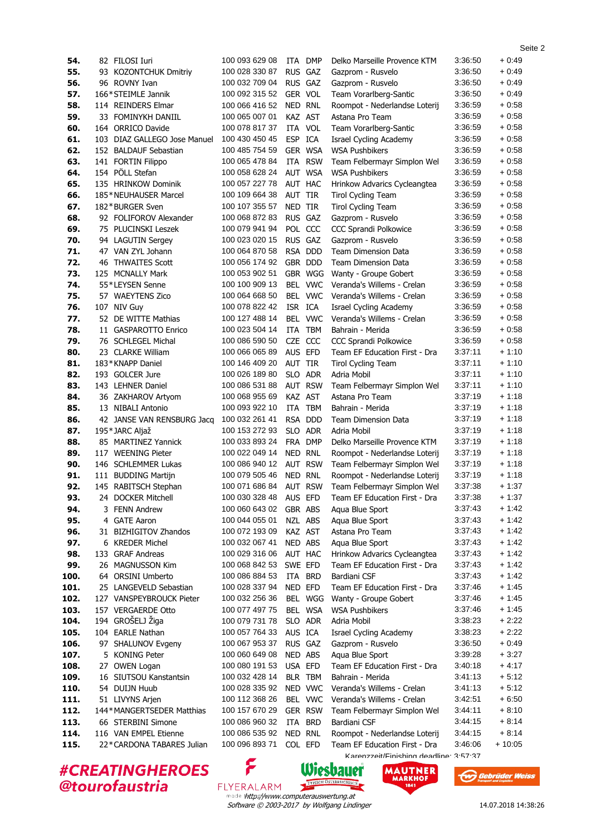|            | <i><b>‡CREATINGHEROES</b></i>       | ۶                                |                    |                | Wiesbauer<br><b>MAUTNER</b>                             |                    |                  |
|------------|-------------------------------------|----------------------------------|--------------------|----------------|---------------------------------------------------------|--------------------|------------------|
|            |                                     |                                  |                    |                | Karanzzait/Finiching daadling 2.57.27                   |                    |                  |
| 115.       | 22*CARDONA TABARES Julian           | 100 096 893 71                   | COL EFD            |                | Team EF Education First - Dra                           | 3:46:06            | $+10:05$         |
| 114.       | 116 VAN EMPEL Etienne               | 100 086 535 92                   | NED RNL            |                | Roompot - Nederlandse Loterij                           | 3:44:15            | $+8.14$          |
| 113.       | 66 STERBINI Simone                  | 100 086 960 32                   | ITA                | <b>BRD</b>     | Bardiani CSF                                            | 3:44:15            | $+8.14$          |
| 112.       | 144*MANGERTSEDER Matthias           | 100 157 670 29                   |                    | <b>GER RSW</b> | Team Felbermayr Simplon Wel                             | 3:44:11            | + 8:10           |
| 111.       | 51 LIVYNS Arjen                     | 100 112 368 26                   |                    | BEL VWC        | Veranda's Willems - Crelan                              | 3:42:51            | + 6:50           |
| 110.       | 54 DUIJN Huub                       | 100 028 335 92                   |                    | NED VWC        | Veranda's Willems - Crelan                              | 3:41:13            | $+5:12$          |
| 109.       | 16 SIUTSOU Kanstantsin              | 100 032 428 14                   | BLR TBM            |                | Bahrain - Merida                                        | 3:41:13            | + 5:12           |
| 108.       | 27 OWEN Logan                       | 100 080 191 53                   | USA EFD            |                | Team EF Education First - Dra                           | 3:40:18            | + 4:17           |
| 107.       | 5 KONING Peter                      | 100 060 649 08                   | NED ABS            |                | Aqua Blue Sport                                         | 3:39:28            | + 3:27           |
| 106.       | 97 SHALUNOV Evgeny                  | 100 067 953 37                   | RUS GAZ            |                | Gazprom - Rusvelo                                       | 3:36:50            | + 0:49           |
| 105.       | 104 EARLE Nathan                    | 100 057 764 33                   | AUS ICA            |                | Israel Cycling Academy                                  | 3:38:23            | $+2:22$          |
| 104.       | 194 GROŠELJ Žiga                    | 100 079 731 78                   |                    | SLO ADR        | Adria Mobil                                             | 3:38:23            | + 2:22           |
| 103.       | 157 VERGAERDE Otto                  | 100 077 497 75                   |                    | BEL WSA        | <b>WSA Pushbikers</b>                                   | 3:37:46            | + 1:45           |
| 102.       | 127 VANSPEYBROUCK Pieter            | 100 032 256 36                   |                    | BEL WGG        | Wanty - Groupe Gobert                                   | 3:37:46            | + 1:45           |
| 101.       | 25 LANGEVELD Sebastian              | 100 028 337 94                   | NED EFD            |                | Team EF Education First - Dra                           | 3:37:46            | + 1:45           |
| 100.       | 64 ORSINI Umberto                   | 100 086 884 53                   |                    | ITA BRD        | Bardiani CSF                                            | 3:37:43            | + 1:42           |
| 99.        | 26 MAGNUSSON Kim                    | 100 068 842 53                   | SWE EFD            |                | Team EF Education First - Dra                           | 3:37:43            | + 1:42           |
| 98.        | 133 GRAF Andreas                    | 100 029 316 06                   | AUT HAC            |                | Hrinkow Advarics Cycleangtea                            | 3:37:43            | + 1:42           |
| 97.        | 6 KREDER Michel                     | 100 032 067 41                   | NED ABS            |                | Aqua Blue Sport                                         | 3:37:43            | $+1:42$          |
| 96.        | 31 BIZHIGITOV Zhandos               | 100 072 193 09                   | KAZ AST            |                | Astana Pro Team                                         | 3:37:43            | + 1:42           |
| 95.        | 4 GATE Aaron                        | 100 044 055 01                   | NZL ABS            |                | Aqua Blue Sport                                         | 3:37:43            | + 1:42           |
| 94.        | 3 FENN Andrew                       | 100 060 643 02                   | GBR ABS            |                | Aqua Blue Sport                                         | 3:37:43            | + 1:42           |
| 93.        | 24 DOCKER Mitchell                  | 100 030 328 48                   | <b>AUS</b>         | EFD            | Team EF Education First - Dra                           | 3:37:38            | $+1:37$          |
| 92.        | 145 RABITSCH Stephan                | 100 071 686 84                   |                    | <b>AUT RSW</b> | Team Felbermayr Simplon Wel                             | 3:37:38            | $+1:37$          |
| 91.        | 111 BUDDING Martijn                 | 100 079 505 46                   | NED RNL            |                | Roompot - Nederlandse Loterij                           | 3:37:19            | + 1:18           |
| 90.        | 146 SCHLEMMER Lukas                 | 100 086 940 12                   |                    | <b>AUT RSW</b> | Team Felbermayr Simplon Wel                             | 3:37:19            | $+1:18$          |
| 89.        | 117 WEENING Pieter                  | 100 022 049 14                   | NED RNL            |                | Roompot - Nederlandse Loterij                           | 3:37:19            | $+1:18$          |
| 88.        | 85 MARTINEZ Yannick                 | 100 033 893 24                   |                    | FRA DMP        | Delko Marseille Provence KTM                            | 3:37:19            | $+1:18$          |
| 87.        | 195*JARC Aljaž                      | 100 153 272 93                   | SLO ADR            |                | Adria Mobil                                             | 3:37:19            | $+1:18$          |
| 86.        | 42 JANSE VAN RENSBURG Jacq          | 100 032 261 41                   |                    | RSA DDD        | Team Dimension Data                                     | 3:37:19            | $+1:18$          |
| 85.        | 13 NIBALI Antonio                   | 100 093 922 10                   |                    | ITA TBM        | Bahrain - Merida                                        | 3:37:19            | $+1:18$          |
| 84.        | 36 ZAKHAROV Artyom                  | 100 068 955 69                   | KAZ AST            |                | Astana Pro Team                                         | 3:37:19            | $+1:18$          |
| 83.        | 143 LEHNER Daniel                   | 100 086 531 88                   |                    | <b>AUT RSW</b> | Team Felbermayr Simplon Wel                             | 3:37:11            | + 1:10           |
| 82.        | 193 GOLCER Jure                     | 100 026 189 80                   |                    | SLO ADR        | Adria Mobil                                             | 3:37:11            | $+1:10$          |
| 81.        | 183*KNAPP Daniel                    | 100 146 409 20                   | AUT TIR            |                | <b>Tirol Cycling Team</b>                               | 3:37:11            | $+1:10$          |
| 80.        | 23 CLARKE William                   | 100 066 065 89                   | AUS EFD            |                | Team EF Education First - Dra                           | 3:37:11            | $+1:10$          |
| 79.        | 76 SCHLEGEL Michal                  | 100 086 590 50                   | CZE CCC            |                | CCC Sprandi Polkowice                                   | 3:36:59            | $+0.58$          |
| 78.        | 11 GASPAROTTO Enrico                | 100 023 504 14                   |                    | ITA TBM        | Bahrain - Merida                                        | 3:36:59            | $+0.58$          |
| 77.        | 52 DE WITTE Mathias                 | 100 127 488 14                   |                    | BEL VWC        | Veranda's Willems - Crelan                              | 3:36:59            | $+0.58$          |
| 76.        | 107 NIV Guy                         | 100 078 822 42                   | ISR ICA            |                | Israel Cycling Academy                                  | 3:36:59            | $+0.58$          |
| 75.        | 57 WAEYTENS Zico                    | 100 064 668 50                   |                    | BEL VWC        | Veranda's Willems - Crelan                              | 3:36:59            | $+0.58$          |
| 74.        | 55*LEYSEN Senne                     | 100 100 909 13                   |                    | BEL VWC        | Veranda's Willems - Crelan                              | 3:36:59            | + 0:58           |
| 73.        | 125 MCNALLY Mark                    | 100 053 902 51                   |                    | GBR WGG        | Wanty - Groupe Gobert                                   | 3:36:59            | $+0.58$          |
| 72.        | 46 THWAITES Scott                   | 100 056 174 92                   |                    | GBR DDD        | Team Dimension Data                                     | 3:36:59            | $+0.58$          |
| 71.        | 47 VAN ZYL Johann                   | 100 064 870 58                   |                    | RSA DDD        | <b>Team Dimension Data</b>                              | 3:36:59            | $+0.58$          |
| 70.        | 94 LAGUTIN Sergey                   | 100 023 020 15                   | RUS GAZ            |                | Gazprom - Rusvelo                                       | 3:36:59            | + 0:58           |
| 69.        | 75 PLUCINSKI Leszek                 | 100 079 941 94                   | POL CCC            |                | CCC Sprandi Polkowice                                   | 3:36:59            | $+0.58$          |
| 68.        | 92 FOLIFOROV Alexander              | 100 068 872 83                   | RUS GAZ            |                | Gazprom - Rusvelo                                       | 3:36:59            | $+0.58$          |
| 67.        | 182*BURGER Sven                     | 100 107 355 57                   | NED TIR            |                | <b>Tirol Cycling Team</b>                               | 3:36:59            | $+0.58$          |
| 66.        | 185*NEUHAUSER Marcel                | 100 109 664 38                   | AUT TIR            |                | <b>Tirol Cycling Team</b>                               | 3:36:59            | + 0:58           |
| 65.        | 135 HRINKOW Dominik                 | 100 057 227 78                   | AUT HAC            |                | Hrinkow Advarics Cycleangtea                            | 3:36:59            | $+0.58$          |
| 64.        | 154 PÖLL Stefan                     | 100 058 628 24                   |                    | AUT WSA        | <b>WSA Pushbikers</b>                                   | 3:36:59            | $+0.58$          |
| 63.        | 141 FORTIN Filippo                  | 100 065 478 84                   |                    | ITA RSW        | Team Felbermayr Simplon Wel                             | 3:36:59            | $+0.58$          |
| 62.        | 152 BALDAUF Sebastian               | 100 485 754 59                   |                    | GER WSA        | <b>WSA Pushbikers</b>                                   | 3:36:59            | $+0.58$          |
| 61.        | 103 DIAZ GALLEGO Jose Manuel        | 100 430 450 45                   | ESP ICA            |                | Israel Cycling Academy                                  | 3:36:59            | $+0.58$          |
| 60.        | 164 ORRICO Davide                   | 100 078 817 37                   | ITA VOL            |                | Team Vorarlberg-Santic                                  | 3:36:59            | $+0.58$          |
| 59.        | 33 FOMINYKH DANIIL                  | 100 065 007 01                   | KAZ AST            |                | Astana Pro Team                                         | 3:36:59            | $+0.58$          |
| 57.<br>58. | 114 REINDERS Elmar                  | 100 066 416 52                   | NED RNL            |                | Team Vorarlberg-Santic<br>Roompot - Nederlandse Loterij | 3:36:59            | $+0.58$          |
| 56.        | 96 ROVNY Ivan<br>166*STEIMLE Jannik | 100 032 709 04<br>100 092 315 52 | RUS GAZ<br>GER VOL |                | Gazprom - Rusvelo                                       | 3:36:50<br>3:36:50 | + 0:49<br>+ 0:49 |
| 55.        | 93 KOZONTCHUK Dmitriy               | 100 028 330 87                   |                    | RUS GAZ        | Gazprom - Rusvelo                                       | 3:36:50            | + 0:49           |
| 54.        | 82 FILOSI Iuri                      | 100 093 629 08                   | ITA                | DMP            | Delko Marseille Provence KTM                            | 3:36:50            | + 0:49           |
|            |                                     |                                  |                    |                |                                                         |                    |                  |

**#CREATINGHEROES** @tourofaustria

**MAUTNER** 



Seite 2

Software © 2003-2017 by Wolfgang Lindinger http://www.computerauswertung.at

FLYERALARM

TYPISCH ÖSTERREICH

**IISCH** 

14.07.2018 14:38:26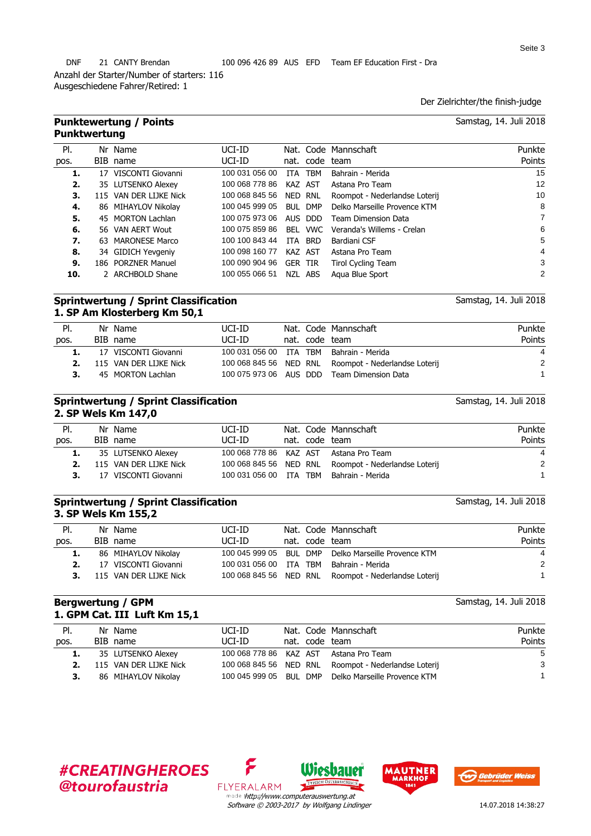Ausgeschiedene Fahrer/Retired: 1

Der Zielrichter/the finish-judge

Samstag, 14. Juli 2018

Samstag, 14. Juli 2018

Samstag, 14. Juli 2018

|      | <b>Punktewertung / Points</b><br><b>Punktwertung</b> |        |                      | Samstag, 14. Juli 2018 |  |
|------|------------------------------------------------------|--------|----------------------|------------------------|--|
| PI.  | Nr Name                                              | UCI-ID | Nat. Code Mannschaft | Punkte                 |  |
| pos. | BIB name                                             | UCI-ID | nat. code team       | Points                 |  |
|      |                                                      |        |                      | $\sim$ $\sim$          |  |

| 1.  | 17 VISCONTI Giovanni   | 100 031 056 00         | ITA TBM | Bahrain - Merida                                  | 15 |
|-----|------------------------|------------------------|---------|---------------------------------------------------|----|
| 2.  | 35 LUTSENKO Alexey     | 100 068 778 86         | KAZ AST | Astana Pro Team                                   | 12 |
| З.  | 115 VAN DER LIJKE Nick | 100 068 845 56 NED RNL |         | Roompot - Nederlandse Loterij                     | 10 |
| 4.  | 86 MIHAYLOV Nikolay    | 100 045 999 05         | BUL DMP | Delko Marseille Provence KTM                      | 8  |
| 5.  | 45 MORTON Lachlan      | 100 075 973 06         | AUS DDD | Team Dimension Data                               |    |
| 6.  | 56 VAN AERT Wout       |                        |         | 100 075 859 86 BEL VWC Veranda's Willems - Crelan | 6  |
| 7.  | 63 MARONESE Marco      | 100 100 843 44         | ITA BRD | Bardiani CSF                                      | 5  |
| 8.  | 34 GIDICH Yevgeniy     | 100 098 160 77         | KAZ AST | Astana Pro Team                                   | 4  |
| 9.  | 186 PORZNER Manuel     | 100 090 904 96         | GER TIR | Tirol Cycling Team                                | 3  |
| 10. | 2 ARCHBOLD Shane       | 100 055 066 51         | NZL ABS | Agua Blue Sport                                   | 2  |

### **Sprintwertung / Sprint Classification 1. SP Am Klosterberg Km 50,1**

| PI.  | Nr Name                | UCI-ID                 |  | Nat. Code Mannschaft                                 | Punkte         |
|------|------------------------|------------------------|--|------------------------------------------------------|----------------|
| pos. | BIB name               | UCI-ID                 |  | nat. code team                                       | Points         |
|      | 17 VISCONTI Giovanni   | 100 031 056 00 ITA TBM |  | Bahrain - Merida                                     | $\overline{4}$ |
|      | 115 VAN DER LIJKE Nick |                        |  | 100 068 845 56 NED RNL Roompot - Nederlandse Loterij | 2              |
|      | 45 MORTON Lachlan      |                        |  | 100 075 973 06 AUS DDD Team Dimension Data           |                |
|      |                        |                        |  |                                                      |                |

### **Sprintwertung / Sprint Classification 2. SP Wels Km 147,0**

|      |    | __________________     |                        |  |                                                      |        |
|------|----|------------------------|------------------------|--|------------------------------------------------------|--------|
| PI.  |    | Nr Name                | UCI-ID                 |  | Nat. Code Mannschaft                                 | Punkte |
| pos. |    | BIB name               | UCI-ID                 |  | nat. code team                                       | Points |
|      |    | 35 LUTSENKO Alexey     |                        |  | 100 068 778 86 KAZ AST Astana Pro Team               | 4      |
|      | 2. | 115 VAN DER LIJKE Nick |                        |  | 100 068 845 56 NED RNL Roompot - Nederlandse Loterij | 2      |
| 3.   |    | 17 VISCONTI Giovanni   | 100 031 056 00 ITA TBM |  | Bahrain - Merida                                     |        |
|      |    |                        |                        |  |                                                      |        |

### **Sprintwertung / Sprint Classification 3. SP Wels Km 155,2**

| PI.  | Nr Name                | UCI-ID                 |                | Nat. Code Mannschaft                                 | Punkte |
|------|------------------------|------------------------|----------------|------------------------------------------------------|--------|
| pos. | BIB name               | UCI-ID                 | nat. code team |                                                      | Points |
|      | 86 MIHAYLOV Nikolay    |                        |                | 100 045 999 05 BUL DMP Delko Marseille Provence KTM  | 4      |
|      | 17 VISCONTI Giovanni   | 100 031 056 00 ITA TBM |                | Bahrain - Merida                                     | 2      |
|      | 115 VAN DER LIJKE Nick |                        |                | 100 068 845 56 NED RNL Roompot - Nederlandse Loterij |        |

### **Bergwertung / GPM 1. GPM Cat. III Luft Km 15,1**

Samstag, 14. Juli 2018

| PI.  | Nr Name                | UCI-ID |                | Nat. Code Mannschaft                                 | Punkte |
|------|------------------------|--------|----------------|------------------------------------------------------|--------|
| pos. | BIB name               | UCI-ID | nat. code team |                                                      | Points |
|      | 35 LUTSENKO Alexey     |        |                | 100 068 778 86 KAZ AST Astana Pro Team               | -5     |
|      | 115 VAN DER LIJKE Nick |        |                | 100 068 845 56 NED RNL Roompot - Nederlandse Loterij | 3      |
| З.   | 86 MIHAYLOV Nikolay    |        |                | 100 045 999 05 BUL DMP Delko Marseille Provence KTM  |        |
|      |                        |        |                |                                                      |        |

## **#CREATINGHEROES @tourofaustria**



Wiesbauer

۶





Seite 3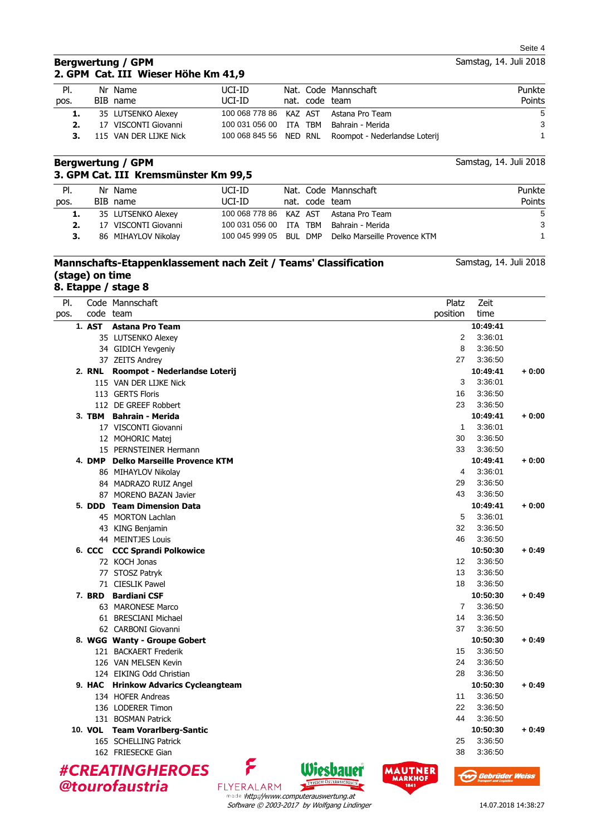Samstag, 14. Juli 2018

### **Bergwertung / GPM 2. GPM Cat. III Wieser Höhe Km 41,9**

| PI.  | Nr Name                | UCI-ID                 |                | Nat. Code Mannschaft                                 | Punkte        |
|------|------------------------|------------------------|----------------|------------------------------------------------------|---------------|
| pos. | BIB name               | UCI-ID                 | nat. code team |                                                      | <b>Points</b> |
| 1.   | 35 LUTSENKO Alexey     |                        |                | 100 068 778 86 KAZ AST Astana Pro Team               | 5             |
|      | 17 VISCONTI Giovanni   | 100 031 056 00 ITA TBM |                | Bahrain - Merida                                     | 3             |
|      | 115 VAN DER LIJKE Nick |                        |                | 100 068 845 56 NED RNL Roompot - Nederlandse Loterij |               |

### **Bergwertung / GPM 3. GPM Cat. III Kremsmünster Km 99,5**

| PI.  | Nr Name              | UCI-ID                 |                | Nat. Code Mannschaft                                | Punkte |
|------|----------------------|------------------------|----------------|-----------------------------------------------------|--------|
| pos. | BIB name             | UCI-ID                 | nat. code team |                                                     | Points |
| 1.   | 35 LUTSENKO Alexey   |                        |                | 100 068 778 86 KAZ AST Astana Pro Team              | 5      |
|      | 17 VISCONTI Giovanni | 100 031 056 00 ITA TBM |                | Bahrain - Merida                                    | 3      |
|      | 86 MIHAYLOV Nikolay  |                        |                | 100 045 999 05 BUL DMP Delko Marseille Provence KTM |        |

## **Mannschafts-Etappenklassement nach Zeit / Teams' Classification (stage) on time**

**8. Etappe / stage 8**

| PI.  |        | Code Mannschaft                                               | Platz           | Zeit                  |
|------|--------|---------------------------------------------------------------|-----------------|-----------------------|
| pos. |        | code team                                                     | position        | time                  |
|      | 1. AST | <b>Astana Pro Team</b>                                        |                 | 10:49:41              |
|      |        | 35 LUTSENKO Alexey                                            | 2               | 3:36:01               |
|      |        | 34 GIDICH Yevgeniy                                            | 8               | 3:36:50               |
|      |        | 37 ZEITS Andrey                                               | 27              | 3:36:50               |
|      |        | 2. RNL Roompot - Nederlandse Loterij                          |                 | 10:49:41<br>$+0:00$   |
|      |        | 115 VAN DER LIJKE Nick                                        | 3               | 3:36:01               |
|      |        | 113 GERTS Floris                                              | 16              | 3:36:50               |
|      |        | 112 DE GREEF Robbert                                          | 23              | 3:36:50               |
|      |        | 3. TBM Bahrain - Merida                                       |                 | 10:49:41<br>$+0:00$   |
|      |        | 17 VISCONTI Giovanni                                          | $\mathbf{1}$    | 3:36:01               |
|      |        | 12 MOHORIC Matei                                              | 30              | 3:36:50               |
|      |        | 15 PERNSTEINER Hermann                                        | 33              | 3:36:50               |
|      |        | 4. DMP Delko Marseille Provence KTM                           |                 | 10:49:41<br>$+0:00$   |
|      |        | 86 MIHAYLOV Nikolay                                           | 4               | 3:36:01               |
|      |        | 84 MADRAZO RUIZ Angel                                         | 29              | 3:36:50               |
|      |        | 87 MORENO BAZAN Javier                                        | 43              | 3:36:50               |
|      |        | 5. DDD Team Dimension Data                                    |                 | 10:49:41<br>$+0:00$   |
|      |        | 45 MORTON Lachlan                                             | 5               | 3:36:01               |
|      |        | 43 KING Benjamin                                              | 32              | 3:36:50               |
|      |        | 44 MEINTJES Louis                                             | 46              | 3:36:50               |
|      |        | 6. CCC CCC Sprandi Polkowice                                  |                 | 10:50:30<br>$+0.49$   |
|      |        | 72 KOCH Jonas                                                 | 12              | 3:36:50               |
|      |        | 77 STOSZ Patryk                                               | 13              | 3:36:50               |
|      |        | 71 CIESLIK Pawel                                              | 18              | 3:36:50               |
|      |        | 7. BRD Bardiani CSF                                           |                 | 10:50:30<br>$+0.49$   |
|      |        | 63 MARONESE Marco                                             | $\overline{7}$  | 3:36:50               |
|      |        | 61 BRESCIANI Michael                                          | 14              | 3:36:50               |
|      |        | 62 CARBONI Giovanni                                           | 37              | 3:36:50               |
|      |        | 8. WGG Wanty - Groupe Gobert                                  |                 | 10:50:30<br>$+0:49$   |
|      |        | 121 BACKAERT Frederik                                         | 15              | 3:36:50               |
|      |        | 126 VAN MELSEN Kevin                                          | 24              | 3:36:50               |
|      |        | 124 EIKING Odd Christian                                      | 28              | 3:36:50               |
|      |        | 9. HAC Hrinkow Advarics Cycleangteam                          |                 | 10:50:30<br>$+0.49$   |
|      |        | 134 HOFER Andreas                                             | 11              | 3:36:50               |
|      |        | 136 LODERER Timon                                             | 22              | 3:36:50               |
|      |        | 131 BOSMAN Patrick                                            | 44              | 3:36:50               |
|      |        | 10. VOL Team Vorarlberg-Santic                                |                 | 10:50:30<br>$+0:49$   |
|      |        | 165 SCHELLING Patrick                                         | 25              | 3:36:50               |
|      |        | 162 FRIESECKE Gian                                            | 38              | 3:36:50               |
|      |        | <b>#CREATINGHEROES</b>                                        | MAUTNER         | <b>Gebrüder Weiss</b> |
|      |        | TYPISCH ÖSTERREICHISCH<br>@tourofaustria<br><b>FLYERALARM</b> | MARKHOF<br>1841 |                       |

Samstag, 14. Juli 2018

Samstag, 14. Juli 2018

FLYERALARM made thttp://www.computerauswertung.at Software © 2003-2017 by Wolfgang Lindinger

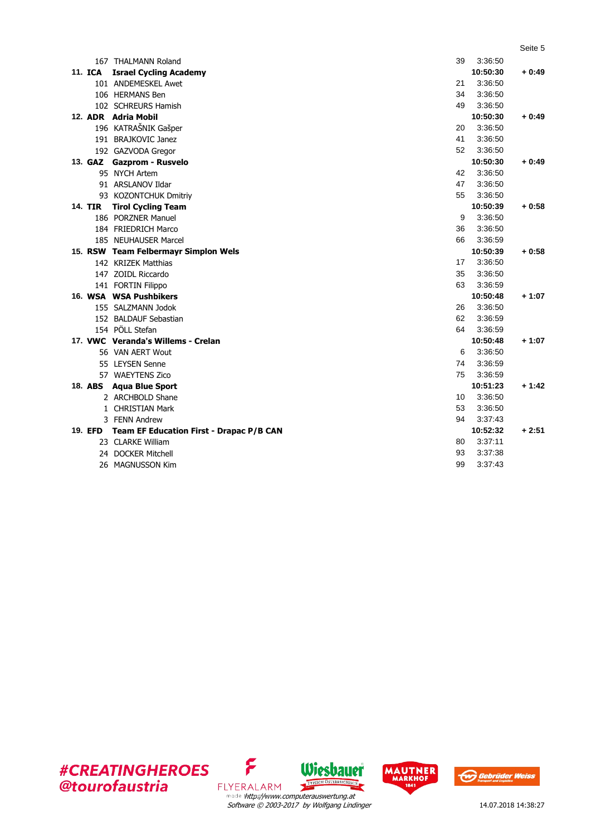|                |                                          |    |                     | Seite 5 |
|----------------|------------------------------------------|----|---------------------|---------|
|                | 167 THALMANN Roland                      | 39 | 3:36:50             |         |
| <b>11. ICA</b> | <b>Israel Cycling Academy</b>            |    | 10:50:30            | + 0:49  |
|                | 101 ANDEMESKEL Awet                      | 21 | 3:36:50             |         |
|                | 106 HERMANS Ben                          | 34 | 3:36:50             |         |
|                | 102 SCHREURS Hamish                      | 49 | 3:36:50             |         |
|                | 12. ADR Adria Mobil                      |    | 10:50:30            | $+0.49$ |
|                | 196 KATRAŠNIK Gašper                     | 20 | 3:36:50             |         |
|                | 191 BRAJKOVIC Janez                      | 41 | 3:36:50             |         |
|                | 192 GAZVODA Gregor                       | 52 | 3:36:50             |         |
|                | 13. GAZ Gazprom - Rusvelo                |    | 10:50:30            | $+0:49$ |
|                | 95 NYCH Artem                            | 42 | 3:36:50             |         |
|                | 91 ARSLANOV Ildar                        | 47 | 3:36:50             |         |
|                | 93 KOZONTCHUK Dmitriy                    | 55 | 3:36:50             |         |
| <b>14. TIR</b> | <b>Tirol Cycling Team</b>                |    | 10:50:39            | $+0:58$ |
|                | 186 PORZNER Manuel                       | 9  | 3:36:50             |         |
|                | 184 FRIEDRICH Marco                      | 36 | 3:36:50             |         |
|                | 185 NEUHAUSER Marcel                     | 66 | 3:36:59             |         |
|                | 15. RSW Team Felbermayr Simplon Wels     |    | 10:50:39            | $+0.58$ |
|                | 142 KRIZEK Matthias                      | 17 | 3:36:50             |         |
|                | 147 ZOIDL Riccardo                       | 35 | 3:36:50             |         |
|                | 141 FORTIN Filippo                       | 63 | 3:36:59             |         |
|                | 16. WSA WSA Pushbikers                   |    | 10:50:48            | $+1:07$ |
|                | 155 SALZMANN Jodok                       | 26 | 3:36:50             |         |
|                | 152 BALDAUF Sebastian                    | 62 | 3:36:59             |         |
|                | 154 PÖLL Stefan                          | 64 | 3:36:59             |         |
|                | 17. VWC Veranda's Willems - Crelan       |    | 10:50:48            | $+1:07$ |
|                | 56 VAN AERT Wout                         | 6  | 3:36:50             |         |
|                | 55 LEYSEN Senne                          | 74 | 3:36:59             |         |
|                | 57 WAEYTENS Zico                         | 75 | 3:36:59             |         |
|                | 18. ABS Agua Blue Sport                  |    | 10:51:23            | $+1:42$ |
|                | 2 ARCHBOLD Shane                         | 10 | 3:36:50             |         |
|                | 1 CHRISTIAN Mark                         | 53 | 3:36:50             |         |
|                | 3 FENN Andrew                            | 94 | 3:37:43             |         |
| 19. EFD        | Team EF Education First - Drapac P/B CAN |    | 10:52:32<br>3:37:11 | $+2:51$ |
|                | 23 CLARKE William                        | 80 |                     |         |
| 24             | <b>DOCKER Mitchell</b>                   | 93 | 3:37:38             |         |
|                | 26 MAGNUSSON Kim                         | 99 | 3:37:43             |         |







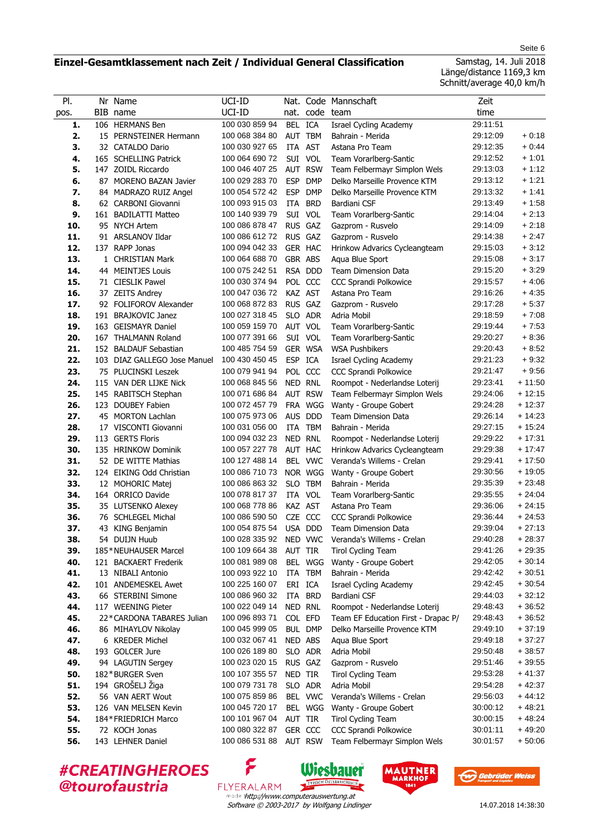### **Einzel-Gesamtklassement nach Zeit / Individual General Classification**

Seite 6

Samstag, 14. Juli 2018 Länge/distance 1169,3 km Schnitt/average 40,0 km/h

| PI.        |     | Nr Name                      | UCI-ID                           |            |                    | Nat. Code Mannschaft                | Zeit                 |                      |
|------------|-----|------------------------------|----------------------------------|------------|--------------------|-------------------------------------|----------------------|----------------------|
| pos.       |     | BIB name                     | UCI-ID                           |            | nat. code team     |                                     | time                 |                      |
| 1.         | 106 | <b>HERMANS Ben</b>           | 100 030 859 94                   | BEL ICA    |                    | Israel Cycling Academy              | 29:11:51             |                      |
| 2.         |     | 15 PERNSTEINER Hermann       | 100 068 384 80                   | AUT        | <b>TBM</b>         | Bahrain - Merida                    | 29:12:09             | $+0.18$              |
| 3.         |     | 32 CATALDO Dario             | 100 030 927 65                   | ITA        | <b>AST</b>         | Astana Pro Team                     | 29:12:35             | $+0.44$              |
| 4.         |     | 165 SCHELLING Patrick        | 100 064 690 72                   |            | SUI VOL            | Team Vorarlberg-Santic              | 29:12:52             | $+1:01$              |
| 5.         |     | 147 ZOIDL Riccardo           | 100 046 407 25                   |            | <b>AUT RSW</b>     | Team Felbermayr Simplon Wels        | 29:13:03             | $+1:12$              |
| 6.         |     | 87 MORENO BAZAN Javier       | 100 029 283 70                   | <b>ESP</b> | <b>DMP</b>         | Delko Marseille Provence KTM        | 29:13:12             | $+1:21$              |
| 7.         |     | 84 MADRAZO RUIZ Angel        | 100 054 572 42                   | <b>ESP</b> | <b>DMP</b>         | Delko Marseille Provence KTM        | 29:13:32             | $+1:41$              |
| 8.         |     | 62 CARBONI Giovanni          | 100 093 915 03                   | ITA        | <b>BRD</b>         | Bardiani CSF                        | 29:13:49             | $+1:58$              |
| 9.         |     | 161 BADILATTI Matteo         | 100 140 939 79                   | SUI        | VOL                | Team Vorarlberg-Santic              | 29:14:04             | $+2:13$              |
| 10.        |     | 95 NYCH Artem                | 100 086 878 47                   |            | RUS GAZ            | Gazprom - Rusvelo                   | 29:14:09             | $+2:18$              |
| 11.        |     | 91 ARSLANOV Ildar            | 100 086 612 72                   | <b>RUS</b> | GAZ                | Gazprom - Rusvelo                   | 29:14:38             | $+2:47$              |
| 12.        |     | 137 RAPP Jonas               | 100 094 042 33                   |            | GER HAC            | Hrinkow Advarics Cycleangteam       | 29:15:03             | $+3:12$              |
| 13.        |     | 1 CHRISTIAN Mark             | 100 064 688 70                   |            | GBR ABS            | Aqua Blue Sport                     | 29:15:08             | $+3:17$              |
| 14.        |     | 44 MEINTJES Louis            | 100 075 242 51                   |            | RSA DDD            | <b>Team Dimension Data</b>          | 29:15:20             | $+3:29$              |
| 15.        |     | 71 CIESLIK Pawel             | 100 030 374 94                   |            | POL CCC            | <b>CCC Sprandi Polkowice</b>        | 29:15:57             | $+4:06$              |
| 16.        |     | 37 ZEITS Andrey              | 100 047 036 72                   |            | KAZ AST            | Astana Pro Team                     | 29:16:26             | $+4:35$              |
| 17.        |     | 92 FOLIFOROV Alexander       | 100 068 872 83                   |            | RUS GAZ            | Gazprom - Rusvelo                   | 29:17:28             | $+5:37$              |
| 18.        |     | 191 BRAJKOVIC Janez          | 100 027 318 45                   |            | SLO ADR            | Adria Mobil                         | 29:18:59             | $+7:08$              |
| 19.        |     | 163 GEISMAYR Daniel          | 100 059 159 70                   |            | AUT VOL            | Team Vorarlberg-Santic              | 29:19:44             | $+7:53$              |
| 20.        |     | 167 THALMANN Roland          | 100 077 391 66                   |            | SUI VOL            | Team Vorarlberg-Santic              | 29:20:27             | $+8:36$              |
| 21.        |     | 152 BALDAUF Sebastian        | 100 485 754 59                   |            | GER WSA            | <b>WSA Pushbikers</b>               | 29:20:43             | $+8:52$              |
| 22.        |     | 103 DIAZ GALLEGO Jose Manuel | 100 430 450 45                   | ESP ICA    |                    | Israel Cycling Academy              | 29:21:23             | $+9.32$              |
| 23.        |     | 75 PLUCINSKI Leszek          | 100 079 941 94                   |            | POL CCC            | <b>CCC Sprandi Polkowice</b>        | 29:21:47             | $+9.56$              |
| 24.        |     | 115 VAN DER LIJKE Nick       | 100 068 845 56                   |            | NED RNL            | Roompot - Nederlandse Loterij       | 29:23:41             | $+11:50$             |
| 25.        |     | 145 RABITSCH Stephan         | 100 071 686 84                   |            | AUT RSW            | Team Felbermayr Simplon Wels        | 29:24:06             | $+12:15$             |
| 26.        |     | 123 DOUBEY Fabien            | 100 072 457 79                   |            | FRA WGG            | Wanty - Groupe Gobert               | 29:24:28             | $+12:37$             |
| 27.        |     | 45 MORTON Lachlan            | 100 075 973 06                   | <b>AUS</b> | <b>DDD</b>         | <b>Team Dimension Data</b>          | 29:26:14             | $+14:23$             |
| 28.        |     | 17 VISCONTI Giovanni         | 100 031 056 00                   | ITA        | <b>TBM</b>         | Bahrain - Merida                    | 29:27:15             | $+15.24$             |
| 29.        |     | 113 GERTS Floris             | 100 094 032 23                   |            | NED RNL            | Roompot - Nederlandse Loterij       | 29:29:22             | $+17:31$             |
| 30.        |     | 135 HRINKOW Dominik          | 100 057 227 78                   |            | AUT HAC            | Hrinkow Advarics Cycleangteam       | 29:29:38             | $+17:47$             |
| 31.        |     | 52 DE WITTE Mathias          | 100 127 488 14                   |            | BEL VWC            | Veranda's Willems - Crelan          | 29:29:41             | $+17:50$             |
| 32.        |     | 124 EIKING Odd Christian     | 100 086 710 73                   |            | NOR WGG            | Wanty - Groupe Gobert               | 29:30:56             | $+19:05$             |
| 33.        |     | 12 MOHORIC Matej             | 100 086 863 32                   | <b>SLO</b> | <b>TBM</b>         | Bahrain - Merida                    | 29:35:39             | $+23:48$             |
| 34.        |     | 164 ORRICO Davide            | 100 078 817 37                   | ITA        | <b>VOL</b>         | Team Vorarlberg-Santic              | 29:35:55             | $+24:04$             |
| 35.        |     | 35 LUTSENKO Alexey           | 100 068 778 86                   |            | KAZ AST            | Astana Pro Team                     | 29:36:06             | $+24:15$             |
| 36.        |     | 76 SCHLEGEL Michal           | 100 086 590 50                   | <b>CZE</b> | CCC                | <b>CCC Sprandi Polkowice</b>        | 29:36:44             | $+24:53$             |
| 37.        |     | 43 KING Benjamin             | 100 054 875 54                   |            | USA DDD            | <b>Team Dimension Data</b>          | 29:39:04             | $+27:13$             |
| 38.        |     | 54 DUIJN Huub                | 100 028 335 92                   |            | NED VWC            | Veranda's Willems - Crelan          | 29:40:28             | $+28:37$             |
| 39.        |     | 185*NEUHAUSER Marcel         | 100 109 664 38                   |            | AUT TIR            | <b>Tirol Cycling Team</b>           | 29:41:26             | $+29:35$             |
| 40.        |     | 121 BACKAERT Frederik        | 100 081 989 08                   |            | BEL WGG            | Wanty - Groupe Gobert               | 29:42:05             | $+30:14$             |
| 41.        |     | 13 NIBALI Antonio            | 100 093 922 10                   |            | ITA TBM            | Bahrain - Merida                    | 29:42:42             | $+30:51$             |
| 42.        |     | 101 ANDEMESKEL Awet          | 100 225 160 07                   |            | ERI ICA            | <b>Israel Cycling Academy</b>       | 29:42:45             | $+30:54$             |
| 43.        |     | 66 STERBINI Simone           | 100 086 960 32                   |            | ITA BRD            | Bardiani CSF                        | 29:44:03             | $+32:12$             |
| 44.        |     | 117 WEENING Pieter           | 100 022 049 14                   |            | NED RNL            | Roompot - Nederlandse Loterij       | 29:48:43             | $+36:52$             |
| 45.        |     | 22*CARDONA TABARES Julian    | 100 096 893 71                   |            | COL EFD            | Team EF Education First - Drapac P/ | 29:48:43             | $+36:52$             |
| 46.        |     | 86 MIHAYLOV Nikolay          | 100 045 999 05                   |            | <b>BUL DMP</b>     | Delko Marseille Provence KTM        | 29:49:10             | $+37:19$             |
| 47.        |     | 6 KREDER Michel              | 100 032 067 41                   |            | NED ABS            | Agua Blue Sport                     | 29:49:18             | $+37:27$             |
|            |     | 193 GOLCER Jure              |                                  |            |                    |                                     |                      |                      |
| 48.<br>49. |     | 94 LAGUTIN Sergey            | 100 026 189 80<br>100 023 020 15 |            | SLO ADR<br>RUS GAZ | Adria Mobil<br>Gazprom - Rusvelo    | 29:50:48<br>29:51:46 | $+38:57$<br>$+39:55$ |
| 50.        |     | 182*BURGER Sven              |                                  |            |                    |                                     |                      |                      |
|            |     |                              | 100 107 355 57                   | NED TIR    |                    | <b>Tirol Cycling Team</b>           | 29:53:28             | $+41:37$             |
| 51.        |     | 194 GROŠELJ Žiga             | 100 079 731 78                   |            | SLO ADR            | Adria Mobil                         | 29:54:28             | $+42:37$             |
| 52.        |     | 56 VAN AERT Wout             | 100 075 859 86                   |            | BEL VWC            | Veranda's Willems - Crelan          | 29:56:03             | $+44:12$             |
| 53.        |     | 126 VAN MELSEN Kevin         | 100 045 720 17                   |            | BEL WGG            | Wanty - Groupe Gobert               | 30:00:12             | $+48.21$             |
| 54.        |     | 184*FRIEDRICH Marco          | 100 101 967 04                   | AUT TIR    |                    | <b>Tirol Cycling Team</b>           | 30:00:15             | $+48:24$             |
| 55.        |     | 72 KOCH Jonas                | 100 080 322 87                   |            | GER CCC            | <b>CCC Sprandi Polkowice</b>        | 30:01:11             | $+49:20$             |
| 56.        |     | 143 LEHNER Daniel            | 100 086 531 88                   |            | <b>AUT RSW</b>     | Team Felbermayr Simplon Wels        | 30:01:57             | $+50:06$             |

**#CREATINGHEROES** @tourofaustria

Software © 2003-2017 by Wolfgang Lindinger made thttp://www.computerauswertung.at

Wiesbauer

TYPISCH ÖSTERREIG

۶

FLYERALARM



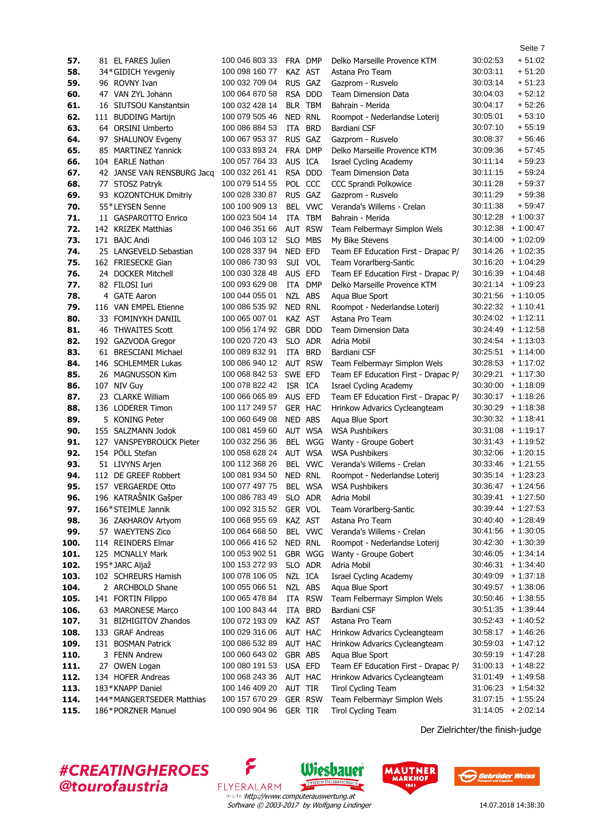| 57.  | 81 EL FARES Julien         | 100 046 803 33 |                | FRA DMP        | Delko Marseille Provence KTM        | 30:02:53 | $+51:02$                                     |
|------|----------------------------|----------------|----------------|----------------|-------------------------------------|----------|----------------------------------------------|
| 58.  | 34*GIDICH Yevgeniy         | 100 098 160 77 |                | KAZ AST        | Astana Pro Team                     | 30:03:11 | $+51:20$                                     |
| 59.  | 96 ROVNY Ivan              | 100 032 709 04 |                | RUS GAZ        | Gazprom - Rusvelo                   | 30:03:14 | $+51:23$                                     |
| 60.  | 47 VAN ZYL Johann          | 100 064 870 58 |                | RSA DDD        | <b>Team Dimension Data</b>          | 30:04:03 | $+52:12$                                     |
| 61.  | 16 SIUTSOU Kanstantsin     | 100 032 428 14 |                | BLR TBM        | Bahrain - Merida                    | 30:04:17 | $+52:26$                                     |
| 62.  | 111 BUDDING Martijn        | 100 079 505 46 |                | NED RNL        | Roompot - Nederlandse Loterij       | 30:05:01 | $+53:10$                                     |
| 63.  | 64 ORSINI Umberto          | 100 086 884 53 | ITA            | <b>BRD</b>     | Bardiani CSF                        | 30:07:10 | $+55.19$                                     |
| 64.  | 97 SHALUNOV Evgeny         | 100 067 953 37 |                | RUS GAZ        | Gazprom - Rusvelo                   | 30:08:37 | $+56.46$                                     |
| 65.  | 85 MARTINEZ Yannick        | 100 033 893 24 |                | FRA DMP        | Delko Marseille Provence KTM        | 30:09:36 | $+57:45$                                     |
| 66.  | 104 EARLE Nathan           | 100 057 764 33 | AUS ICA        |                | <b>Israel Cycling Academy</b>       | 30.11:14 | $+59:23$                                     |
| 67.  | 42 JANSE VAN RENSBURG Jacq | 100 032 261 41 |                | RSA DDD        | <b>Team Dimension Data</b>          | 30:11:15 | $+59.24$                                     |
|      |                            |                |                |                |                                     |          |                                              |
| 68.  | 77 STOSZ Patryk            | 100 079 514 55 |                | POL CCC        | CCC Sprandi Polkowice               | 30:11:28 | $+59.37$                                     |
| 69.  | 93 KOZONTCHUK Dmitriy      | 100 028 330 87 |                | RUS GAZ        | Gazprom - Rusvelo                   | 30:11:29 | $+59.38$                                     |
| 70.  | 55*LEYSEN Senne            | 100 100 909 13 |                | BEL VWC        | Veranda's Willems - Crelan          | 30:11:38 | $+59:47$                                     |
| 71.  | 11 GASPAROTTO Enrico       | 100 023 504 14 |                | ITA TBM        | Bahrain - Merida                    |          | $30:12:28 + 1:00:37$                         |
| 72.  | 142 KRIZEK Matthias        | 100 046 351 66 |                | <b>AUT RSW</b> | Team Felbermayr Simplon Wels        | 30:12:38 | $+1:00:47$                                   |
| 73.  | 171 BAJC Andi              | 100 046 103 12 |                | SLO MBS        | My Bike Stevens                     |          | $30:14:00 + 1:02:09$                         |
| 74.  | 25 LANGEVELD Sebastian     | 100 028 337 94 | NED EFD        |                | Team EF Education First - Drapac P/ |          | $30:14:26 + 1:02:35$                         |
| 75.  | 162 FRIESECKE Gian         | 100 086 730 93 |                | SUI VOL        | Team Vorarlberg-Santic              |          | $30:16:20 + 1:04:29$                         |
| 76.  | 24 DOCKER Mitchell         | 100 030 328 48 | AUS EFD        |                | Team EF Education First - Drapac P/ |          | $30:16:39 + 1:04:48$                         |
| 77.  | 82 FILOSI Iuri             | 100 093 629 08 |                | ITA DMP        | Delko Marseille Provence KTM        |          | $30:21:14 + 1:09:23$                         |
| 78.  | 4 GATE Aaron               | 100 044 055 01 |                | NZL ABS        | Aqua Blue Sport                     |          | $30:21:56 + 1:10:05$                         |
| 79.  | 116 VAN EMPEL Etienne      | 100 086 535 92 | NED RNL        |                | Roompot - Nederlandse Loterij       |          | $30:22:32 + 1:10:41$                         |
| 80.  | 33 FOMINYKH DANIIL         | 100 065 007 01 | KAZ AST        |                | Astana Pro Team                     |          | $30:24:02 + 1:12:11$                         |
| 81.  | 46 THWAITES Scott          | 100 056 174 92 |                | GBR DDD        | <b>Team Dimension Data</b>          |          | $30:24:49 + 1:12:58$                         |
| 82.  | 192 GAZVODA Gregor         | 100 020 720 43 |                | SLO ADR        | Adria Mobil                         |          | $30:24:54$ + 1:13:03                         |
| 83.  | 61 BRESCIANI Michael       | 100 089 832 91 |                | ITA BRD        | Bardiani CSF                        |          | $30:25:51 + 1:14:00$                         |
| 84.  | 146 SCHLEMMER Lukas        | 100 086 940 12 |                | AUT RSW        | Team Felbermayr Simplon Wels        |          | $30:28:53 + 1:17:02$                         |
| 85.  | 26 MAGNUSSON Kim           | 100 068 842 53 | SWE EFD        |                | Team EF Education First - Drapac P/ | 30:29:21 | $+1:17:30$                                   |
| 86.  | 107 NIV Guy                | 100 078 822 42 |                | ISR ICA        | Israel Cycling Academy              |          | $30:30:00 + 1:18:09$                         |
| 87.  | 23 CLARKE William          | 100 066 065 89 | AUS EFD        |                | Team EF Education First - Drapac P/ |          | $30.30:17 + 1:18:26$                         |
| 88.  | 136 LODERER Timon          | 100 117 249 57 |                | GER HAC        | Hrinkow Advarics Cycleangteam       |          | $30:30:29 + 1:18:38$                         |
| 89.  | 5 KONING Peter             | 100 060 649 08 | NED ABS        |                | Aqua Blue Sport                     |          | $30:30:32 + 1:18:41$                         |
| 90.  | 155 SALZMANN Jodok         | 100 081 459 60 |                | AUT WSA        | <b>WSA Pushbikers</b>               |          | $30:31:08 + 1:19:17$                         |
| 91.  | 127 VANSPEYBROUCK Pieter   | 100 032 256 36 |                | BEL WGG        | Wanty - Groupe Gobert               |          | $30:31:43 + 1:19:52$                         |
| 92.  | 154 PÖLL Stefan            | 100 058 628 24 |                | AUT WSA        | <b>WSA Pushbikers</b>               |          | $30:32:06 + 1:20:15$                         |
| 93.  | 51 LIVYNS Arjen            | 100 112 368 26 |                | BEL VWC        | Veranda's Willems - Crelan          |          | $30:33:46 + 1:21:55$                         |
| 94.  | 112 DE GREEF Robbert       | 100 081 934 50 |                | NED RNL        | Roompot - Nederlandse Loterij       |          | $30:35:14$ + 1:23:23                         |
| 95.  | 157 VERGAERDE Otto         | 100 077 497 75 |                | BEL WSA        | <b>WSA Pushbikers</b>               |          | $30:36:47 + 1:24:56$                         |
|      | 196 KATRAŠNIK Gašper       |                |                |                |                                     |          |                                              |
| 96.  |                            | 100 086 783 49 |                | SLO ADR        | Adria Mobil                         |          | $30:39:41 + 1:27:50$<br>$30:39:44$ + 1:27:53 |
| 97.  | 166*STEIMLE Jannik         | 100 092 315 52 | GER VOL        |                | Team Vorarlberg-Santic              |          |                                              |
| 98.  | 36 ZAKHAROV Artyom         | 100 068 955 69 | KAZ AST        |                | Astana Pro Team                     |          | $30:40:40 + 1:28:49$                         |
| 99.  | 57 WAEYTENS Zico           | 100 064 668 50 |                | BEL VWC        | Veranda's Willems - Crelan          |          | $30:41:56 + 1:30:05$                         |
| 100. | 114 REINDERS Elmar         | 100 066 416 52 |                | NED RNL        | Roompot - Nederlandse Loterij       |          | $30:42:30 + 1:30:39$                         |
| 101. | 125 MCNALLY Mark           | 100 053 902 51 |                | GBR WGG        | Wanty - Groupe Gobert               |          | $30:46:05 + 1:34:14$                         |
| 102. | 195*JARC Aljaž             | 100 153 272 93 |                | SLO ADR        | Adria Mobil                         | 30:46:31 | $+1:34:40$                                   |
| 103. | 102 SCHREURS Hamish        | 100 078 106 05 | NZL ICA        |                | <b>Israel Cycling Academy</b>       |          | $30:49:09 + 1:37:18$                         |
| 104. | 2 ARCHBOLD Shane           | 100 055 066 51 |                | NZL ABS        | Agua Blue Sport                     |          | $30:49:57 + 1:38:06$                         |
| 105. | 141 FORTIN Filippo         | 100 065 478 84 |                | ITA RSW        | Team Felbermayr Simplon Wels        |          | $30:50:46 + 1:38:55$                         |
| 106. | 63 MARONESE Marco          | 100 100 843 44 |                | ITA BRD        | Bardiani CSF                        |          | $30:51:35 + 1:39:44$                         |
| 107. | 31 BIZHIGITOV Zhandos      | 100 072 193 09 | KAZ AST        |                | Astana Pro Team                     |          | $30.52.43 + 1.40.52$                         |
| 108. | 133 GRAF Andreas           | 100 029 316 06 |                | AUT HAC        | Hrinkow Advarics Cycleangteam       |          | $30:58:17 + 1:46:26$                         |
| 109. | 131 BOSMAN Patrick         | 100 086 532 89 |                | AUT HAC        | Hrinkow Advarics Cycleangteam       |          | $30:59:03 + 1:47:12$                         |
| 110. | 3 FENN Andrew              | 100 060 643 02 | GBR ABS        |                | Aqua Blue Sport                     | 30:59:19 | $+1:47:28$                                   |
| 111. | 27 OWEN Logan              | 100 080 191 53 | USA EFD        |                | Team EF Education First - Drapac P/ |          | $31:00:13 + 1:48:22$                         |
| 112. | 134 HOFER Andreas          | 100 068 243 36 |                | AUT HAC        | Hrinkow Advarics Cycleangteam       | 31:01:49 | $+1:49:58$                                   |
| 113. | 183*KNAPP Daniel           | 100 146 409 20 | AUT TIR        |                | <b>Tirol Cycling Team</b>           | 31:06:23 | $+1:54:32$                                   |
| 114. | 144*MANGERTSEDER Matthias  | 100 157 670 29 |                | <b>GER RSW</b> | Team Felbermayr Simplon Wels        | 31:07:15 | $+1:55:24$                                   |
| 115. | 186*PORZNER Manuel         | 100 090 904 96 | <b>GER TIR</b> |                | <b>Tirol Cycling Team</b>           |          | $31:14:05 + 2:02:14$                         |
|      |                            |                |                |                |                                     |          |                                              |

Der Zielrichter/the finish-judge

# **#CREATINGHEROES @tourofaustria**



Wiesbauer

۶



Seite 7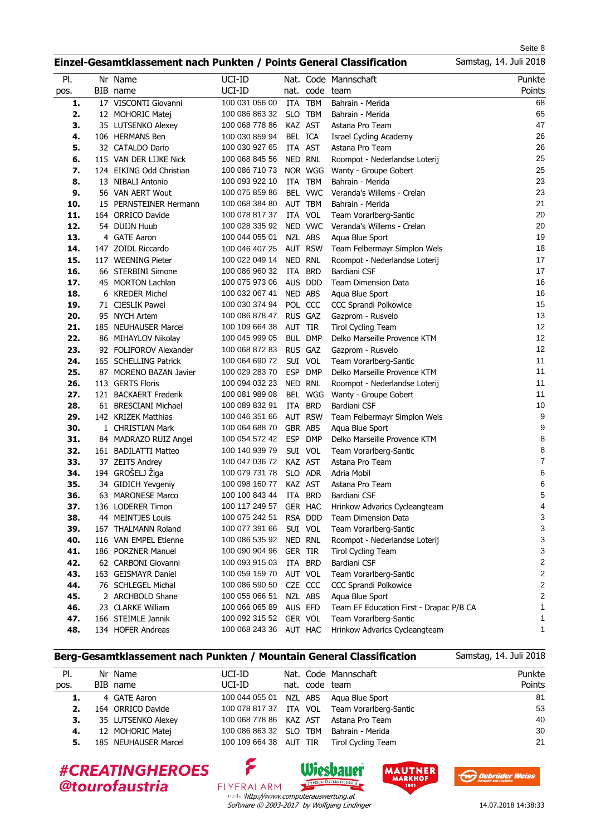Seite 8 Samstag, 14. Juli 2018

### **Einzel-Gesamtklassement nach Punkten / Points General Classification**

| PI.        | Nr Name                             | UCI-ID         |                |                | Nat. Code Mannschaft                    | Punkte           |
|------------|-------------------------------------|----------------|----------------|----------------|-----------------------------------------|------------------|
| pos.       | BIB name                            | UCI-ID         | nat.           | code           | team                                    | Points           |
| 1.         | 17 VISCONTI Giovanni                | 100 031 056 00 | ITA            | <b>TBM</b>     | Bahrain - Merida                        | 68               |
| 2.         | 12 MOHORIC Matej                    | 100 086 863 32 | <b>SLO</b>     | <b>TBM</b>     | Bahrain - Merida                        | 65               |
| 3.         | 35 LUTSENKO Alexey                  | 100 068 778 86 | KAZ AST        |                | Astana Pro Team                         | 47               |
| 4.         | 106 HERMANS Ben                     | 100 030 859 94 | BEL ICA        |                | <b>Israel Cycling Academy</b>           | 26               |
| 5.         | 32 CATALDO Dario                    | 100 030 927 65 |                | ITA AST        | Astana Pro Team                         | 26               |
| 6.         | 115 VAN DER LIJKE Nick              | 100 068 845 56 | NED RNL        |                | Roompot - Nederlandse Loterij           | 25               |
| 7.         | 124 EIKING Odd Christian            | 100 086 710 73 |                | NOR WGG        | Wanty - Groupe Gobert                   | 25               |
| 8.         | 13 NIBALI Antonio                   | 100 093 922 10 | ITA            | <b>TBM</b>     | Bahrain - Merida                        | 23               |
| 9.         | 56 VAN AERT Wout                    | 100 075 859 86 |                | BEL VWC        | Veranda's Willems - Crelan              | 23               |
| 10.        | 15 PERNSTEINER Hermann              | 100 068 384 80 |                | AUT TBM        | Bahrain - Merida                        | 21               |
| 11.        | 164 ORRICO Davide                   | 100 078 817 37 |                | ITA VOL        | Team Vorarlberg-Santic                  | 20               |
| 12.        | 54 DUIJN Huub                       | 100 028 335 92 |                | NED VWC        | Veranda's Willems - Crelan              | 20               |
| 13.        | 4 GATE Aaron                        | 100 044 055 01 |                | NZL ABS        | Aqua Blue Sport                         | 19               |
| 14.        | 147 ZOIDL Riccardo                  | 100 046 407 25 |                | <b>AUT RSW</b> | Team Felbermayr Simplon Wels            | 18               |
| 15.        | 117 WEENING Pieter                  | 100 022 049 14 |                | NED RNL        | Roompot - Nederlandse Loterij           | 17               |
| 16.        | 66 STERBINI Simone                  | 100 086 960 32 | ITA            | <b>BRD</b>     | Bardiani CSF                            | 17               |
| 17.        | 45 MORTON Lachlan                   | 100 075 973 06 | <b>AUS</b>     | <b>DDD</b>     | <b>Team Dimension Data</b>              | 16               |
| 18.        | 6 KREDER Michel                     | 100 032 067 41 | NED ABS        |                | Aqua Blue Sport                         | 16               |
| 19.        | 71 CIESLIK Pawel                    | 100 030 374 94 |                | POL CCC        | <b>CCC Sprandi Polkowice</b>            | 15               |
| 20.        | 95 NYCH Artem                       | 100 086 878 47 |                | RUS GAZ        | Gazprom - Rusvelo                       | 13               |
| 21.        | 185 NEUHAUSER Marcel                | 100 109 664 38 | AUT TIR        |                | <b>Tirol Cycling Team</b>               | 12               |
| 22.        | 86 MIHAYLOV Nikolay                 | 100 045 999 05 |                | <b>BUL DMP</b> | Delko Marseille Provence KTM            | 12               |
| 23.        | 92 FOLIFOROV Alexander              | 100 068 872 83 |                | RUS GAZ        | Gazprom - Rusvelo                       | 12               |
| 24.        | 165 SCHELLING Patrick               | 100 064 690 72 |                | SUI VOL        | Team Vorarlberg-Santic                  | 11               |
| 25.        | 87 MORENO BAZAN Javier              | 100 029 283 70 | <b>ESP</b>     | <b>DMP</b>     | Delko Marseille Provence KTM            | 11               |
| 26.        | 113 GERTS Floris                    | 100 094 032 23 |                | NED RNL        | Roompot - Nederlandse Loterij           | 11               |
| 27.        | 121 BACKAERT Frederik               | 100 081 989 08 |                | BEL WGG        | Wanty - Groupe Gobert                   | 11               |
| 28.        | 61 BRESCIANI Michael                | 100 089 832 91 | ITA            | <b>BRD</b>     | Bardiani CSF                            | $10$             |
| 29.        | 142 KRIZEK Matthias                 | 100 046 351 66 |                | <b>AUT RSW</b> | Team Felbermayr Simplon Wels            | $\boldsymbol{9}$ |
| 30.        | 1 CHRISTIAN Mark                    | 100 064 688 70 | GBR ABS        |                | Aqua Blue Sport                         | 9                |
|            |                                     | 100 054 572 42 | <b>ESP</b>     | <b>DMP</b>     |                                         | 8                |
| 31.<br>32. | 84 MADRAZO RUIZ Angel               | 100 140 939 79 |                |                | Delko Marseille Provence KTM            | 8                |
| 33.        | 161 BADILATTI Matteo                | 100 047 036 72 | KAZ AST        | SUI VOL        | Team Vorarlberg-Santic                  | $\boldsymbol{7}$ |
| 34.        | 37 ZEITS Andrey<br>194 GROŠELJ Žiga | 100 079 731 78 |                | SLO ADR        | Astana Pro Team                         | 6                |
| 35.        |                                     |                |                |                | Adria Mobil                             |                  |
|            | 34 GIDICH Yevgeniy                  | 100 098 160 77 |                | KAZ AST        | Astana Pro Team                         | 6                |
| 36.        | 63 MARONESE Marco                   | 100 100 843 44 | ITA            | <b>BRD</b>     | Bardiani CSF                            | 5<br>4           |
| 37.        | 136 LODERER Timon                   | 100 117 249 57 |                | GER HAC        | Hrinkow Advarics Cycleangteam           |                  |
| 38.        | 44 MEINTJES Louis                   | 100 075 242 51 |                | RSA DDD        | Team Dimension Data                     | 3<br>3           |
| 39.        | 167 THALMANN Roland                 | 100 077 391 66 |                | SUI VOL        | Team Vorarlberg-Santic                  | 3                |
| 40.        | 116 VAN EMPEL Etienne               | 100 086 535 92 |                | NED RNL        | Roompot - Nederlandse Loterij           |                  |
| 41.        | 186 PORZNER Manuel                  | 100 090 904 96 | <b>GER TIR</b> |                | <b>Tirol Cycling Team</b>               | 3                |
| 42.        | 62 CARBONI Giovanni                 | 100 093 915 03 |                | ITA BRD        | Bardiani CSF                            | 2                |
| 43.        | 163 GEISMAYR Daniel                 | 100 059 159 70 |                | AUT VOL        | Team Vorarlberg-Santic                  | 2                |
| 44.        | 76 SCHLEGEL Michal                  | 100 086 590 50 |                | CZE CCC        | <b>CCC Sprandi Polkowice</b>            | 2                |
| 45.        | 2 ARCHBOLD Shane                    | 100 055 066 51 |                | NZL ABS        | Aqua Blue Sport                         | 2                |
| 46.        | 23 CLARKE William                   | 100 066 065 89 |                | AUS EFD        | Team EF Education First - Drapac P/B CA | 1                |
| 47.        | 166 STEIMLE Jannik                  | 100 092 315 52 |                | GER VOL        | Team Vorarlberg-Santic                  | 1                |
| 48.        | 134 HOFER Andreas                   | 100 068 243 36 |                | AUT HAC        | Hrinkow Advarics Cycleangteam           | 1                |

### **Berg-Gesamtklassement nach Punkten / Mountain General Classification**

۶

FLYERALARM

| PI.  | Nr Name              | UCI-ID                 |                | Nat. Code Mannschaft    | Punkte |
|------|----------------------|------------------------|----------------|-------------------------|--------|
| pos. | BIB name             | UCI-ID                 | nat. code team |                         | Points |
| 1.   | 4 GATE Aaron         | 100 044 055 01         |                | NZL ABS Agua Blue Sport | 81     |
| 2.   | 164 ORRICO Davide    | 100 078 817 37 ITA VOL |                | Team Vorarlberg-Santic  | 53     |
| З.   | 35 LUTSENKO Alexey   | 100 068 778 86 KAZ AST |                | Astana Pro Team         | 40     |
| 4.   | 12 MOHORIC Matej     | 100 086 863 32 SLO TBM |                | Bahrain - Merida        | 30     |
| 5.   | 185 NEUHAUSER Marcel | 100 109 664 38 AUT TIR |                | Tirol Cycling Team      | 21     |
|      |                      |                        |                |                         |        |

#CREATINGHEROES @tourofaustria

Software © 2003-2017 by Wolfgang Lindinger made thttp://www.computerauswertung.at

Wiesbauer

TYPISCH ÖSTERREN





Samstag, 14. Juli 2018

14.07.2018 14:38:33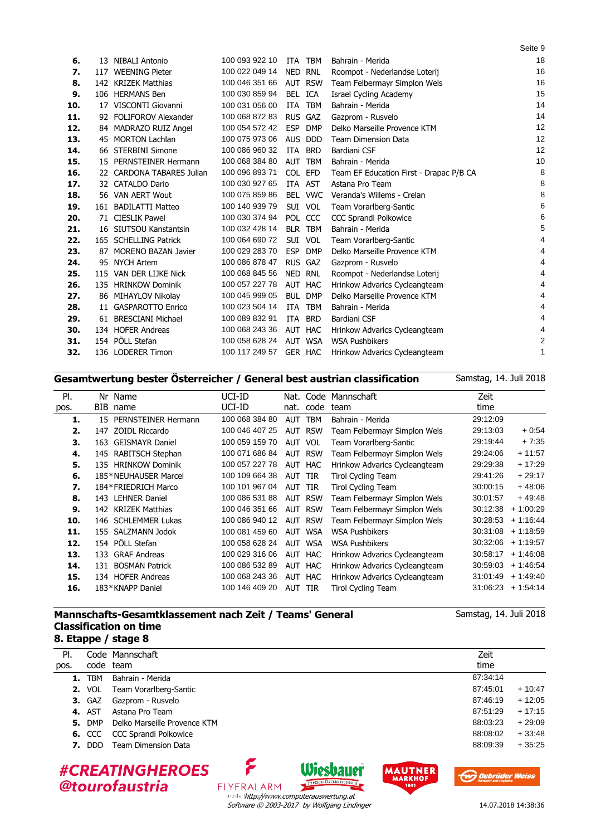| 6.  |     | 13 NIBALI Antonio             | 100 093 922 10 |     | ITA TBM        | Bahrain - Merida                        | 18 |
|-----|-----|-------------------------------|----------------|-----|----------------|-----------------------------------------|----|
| 7.  | 117 | <b>WEENING Pieter</b>         | 100 022 049 14 |     | NED RNL        | Roompot - Nederlandse Loterij           | 16 |
| 8.  |     | 142 KRIZEK Matthias           | 100 046 351 66 |     | AUT RSW        | Team Felbermayr Simplon Wels            | 16 |
| 9.  |     | 106 HERMANS Ben               | 100 030 859 94 |     | BEL ICA        | Israel Cycling Academy                  | 15 |
| 10. | 17  | VISCONTI Giovanni             | 100 031 056 00 |     | ITA TBM        | Bahrain - Merida                        | 14 |
| 11. |     | 92 FOLIFOROV Alexander        | 100 068 872 83 |     | RUS GAZ        | Gazprom - Rusvelo                       | 14 |
| 12. |     | 84 MADRAZO RUIZ Angel         | 100 054 572 42 | ESP | DMP            | Delko Marseille Provence KTM            | 12 |
| 13. | 45  | <b>MORTON Lachlan</b>         | 100 075 973 06 |     | AUS DDD        | <b>Team Dimension Data</b>              | 12 |
| 14. | 66  | <b>STERBINI Simone</b>        | 100 086 960 32 | ITA | <b>BRD</b>     | Bardiani CSF                            | 12 |
| 15. |     | 15 PERNSTEINER Hermann        | 100 068 384 80 |     | AUT TBM        | Bahrain - Merida                        | 10 |
| 16. | 22  | <b>CARDONA TABARES Julian</b> | 100 096 893 71 |     | COL EFD        | Team EF Education First - Drapac P/B CA | 8  |
| 17. |     | 32 CATALDO Dario              | 100 030 927 65 |     | ITA AST        | Astana Pro Team                         | 8  |
| 18. |     | 56 VAN AERT Wout              | 100 075 859 86 |     | BEL VWC        | Veranda's Willems - Crelan              | 8  |
| 19. | 161 | <b>BADILATTI Matteo</b>       | 100 140 939 79 |     | SUI VOL        | Team Vorarlberg-Santic                  | 6  |
| 20. |     | 71 CIESLIK Pawel              | 100 030 374 94 |     | POL CCC        | <b>CCC Sprandi Polkowice</b>            | 6  |
| 21. |     | 16 SIUTSOU Kanstantsin        | 100 032 428 14 |     | BLR TBM        | Bahrain - Merida                        | 5  |
| 22. |     | 165 SCHELLING Patrick         | 100 064 690 72 |     | SUI VOL        | Team Vorarlberg-Santic                  | 4  |
| 23. | 87  | <b>MORENO BAZAN Javier</b>    | 100 029 283 70 |     | ESP DMP        | Delko Marseille Provence KTM            | 4  |
| 24. |     | 95 NYCH Artem                 | 100 086 878 47 |     | RUS GAZ        | Gazprom - Rusvelo                       | 4  |
| 25. | 115 | VAN DER LIJKE Nick            | 100 068 845 56 |     | NED RNL        | Roompot - Nederlandse Loterij           | 4  |
| 26. |     | 135 HRINKOW Dominik           | 100 057 227 78 |     | AUT HAC        | Hrinkow Advarics Cycleangteam           | 4  |
| 27. |     | 86 MIHAYLOV Nikolay           | 100 045 999 05 |     | <b>BUL DMP</b> | Delko Marseille Provence KTM            | 4  |
| 28. | 11  | <b>GASPAROTTO Enrico</b>      | 100 023 504 14 |     | ITA TBM        | Bahrain - Merida                        | 4  |
| 29. | 61  | <b>BRESCIANI Michael</b>      | 100 089 832 91 | ITA | <b>BRD</b>     | Bardiani CSF                            | 4  |
| 30. |     | 134 HOFER Andreas             | 100 068 243 36 |     | AUT HAC        | Hrinkow Advarics Cycleangteam           | 4  |
| 31. |     | 154 PÖLL Stefan               | 100 058 628 24 |     | AUT WSA        | <b>WSA Pushbikers</b>                   | 2  |
| 32. |     | 136 LODERER Timon             | 100 117 249 57 |     | GER HAC        | Hrinkow Advarics Cycleangteam           | 1  |
|     |     |                               |                |     |                |                                         |    |

## **Gesamtwertung bester Österreicher / General best austrian classification**

| PI.  | Nr  | Name                   | UCI-ID         | Nat.       |                | Code Mannschaft               | Zeit     |            |
|------|-----|------------------------|----------------|------------|----------------|-------------------------------|----------|------------|
| pos. | BIB | name                   | UCI-ID         | nat.       | code           | team                          | time     |            |
| 1.   |     | 15 PERNSTEINER Hermann | 100 068 384 80 | <b>AUT</b> | <b>TBM</b>     | Bahrain - Merida              | 29:12:09 |            |
| 2.   |     | 147 ZOIDL Riccardo     | 100 046 407 25 |            | <b>AUT RSW</b> | Team Felbermayr Simplon Wels  | 29:13:03 | $+0.54$    |
| 3.   | 163 | <b>GEISMAYR Daniel</b> | 100 059 159 70 |            | AUT VOL        | Team Vorarlberg-Santic        | 29:19:44 | $+7:35$    |
| 4.   |     | 145 RABITSCH Stephan   | 100 071 686 84 |            | <b>AUT RSW</b> | Team Felbermayr Simplon Wels  | 29:24:06 | $+11:57$   |
| 5.   |     | 135 HRINKOW Dominik    | 100 057 227 78 |            | AUT HAC        | Hrinkow Advarics Cycleangteam | 29:29:38 | $+17:29$   |
| 6.   |     | 185*NEUHAUSER Marcel   | 100 109 664 38 | AUT TIR    |                | Tirol Cycling Team            | 29:41:26 | $+29:17$   |
| 7.   |     | 184*FRIEDRICH Marco    | 100 101 967 04 | AUT TIR    |                | <b>Tirol Cycling Team</b>     | 30:00:15 | $+48:06$   |
| 8.   |     | 143 LEHNER Daniel      | 100 086 531 88 | AUT        | <b>RSW</b>     | Team Felbermayr Simplon Wels  | 30:01:57 | $+49:48$   |
| 9.   |     | 142 KRIZEK Matthias    | 100 046 351 66 | AUT        | <b>RSW</b>     | Team Felbermayr Simplon Wels  | 30:12:38 | $+1:00:29$ |
| 10.  |     | 146 SCHLEMMER Lukas    | 100 086 940 12 | AUT        | <b>RSW</b>     | Team Felbermayr Simplon Wels  | 30:28:53 | $+1:16:44$ |
| 11.  |     | 155 SALZMANN Jodok     | 100 081 459 60 | <b>AUT</b> | WSA            | <b>WSA Pushbikers</b>         | 30.31.08 | $+1:18:59$ |
| 12.  |     | 154 PÖLL Stefan        | 100 058 628 24 | AUT        | <b>WSA</b>     | <b>WSA Pushbikers</b>         | 30:32:06 | $+1:19:57$ |
| 13.  |     | 133 GRAF Andreas       | 100 029 316 06 | AUT        | HAC            | Hrinkow Advarics Cycleangteam | 30:58:17 | $+1:46:08$ |
| 14.  |     | 131 BOSMAN Patrick     | 100 086 532 89 | AUT        | HAC            | Hrinkow Advarics Cycleangteam | 30:59:03 | $+1:46:54$ |
| 15.  |     | 134 HOFER Andreas      | 100 068 243 36 | AUT        | <b>HAC</b>     | Hrinkow Advarics Cycleangteam | 31:01:49 | $+1.49.40$ |
| 16.  |     | 183*KNAPP Daniel       | 100 146 409 20 | AUT TIR    |                | <b>Tirol Cycling Team</b>     | 31:06:23 | $+1:54:14$ |
|      |     |                        |                |            |                |                               |          |            |

### **Mannschafts-Gesamtklassement nach Zeit / Teams' General Classification on time 8. Etappe / stage 8**

| PI.  |               | Code Mannschaft                                               | Zeit                                                                                                           |
|------|---------------|---------------------------------------------------------------|----------------------------------------------------------------------------------------------------------------|
| pos. |               | code team                                                     | time                                                                                                           |
|      | <b>1. TBM</b> | Bahrain - Merida                                              | 87:34:14                                                                                                       |
|      | <b>2.</b> VOL | Team Vorarlberg-Santic                                        | 87:45:01<br>$+10:47$                                                                                           |
|      | <b>3. GAZ</b> | Gazprom - Rusvelo                                             | $+12:05$<br>87:46:19                                                                                           |
|      | <b>4. AST</b> | Astana Pro Team                                               | $+17:15$<br>87:51:29                                                                                           |
|      | <b>5.</b> DMP | Delko Marseille Provence KTM                                  | $+29:09$<br>88:03:23                                                                                           |
|      | <b>6. CCC</b> | <b>CCC Sprandi Polkowice</b>                                  | $+33:48$<br>88:08:02                                                                                           |
|      | <b>7.</b> DDD | <b>Team Dimension Data</b>                                    | $+35.25$<br>88:09:39                                                                                           |
|      |               | <b>#CREATINGHEROES</b><br>@tourofaustria<br><b>FLYERALARM</b> | <b>Wieshauer</b><br><b>AUTNER</b><br><b>Gebrüder Weiss</b><br><b>MARKHOF</b><br>TYPISCH ÖSTERREICHISCH<br>1841 |

Software © 2003-2017 by Wolfgang Lindinger http://www.computerauswertung.at



Seite 9

Samstag, 14. Juli 2018

Samstag, 14. Juli 2018